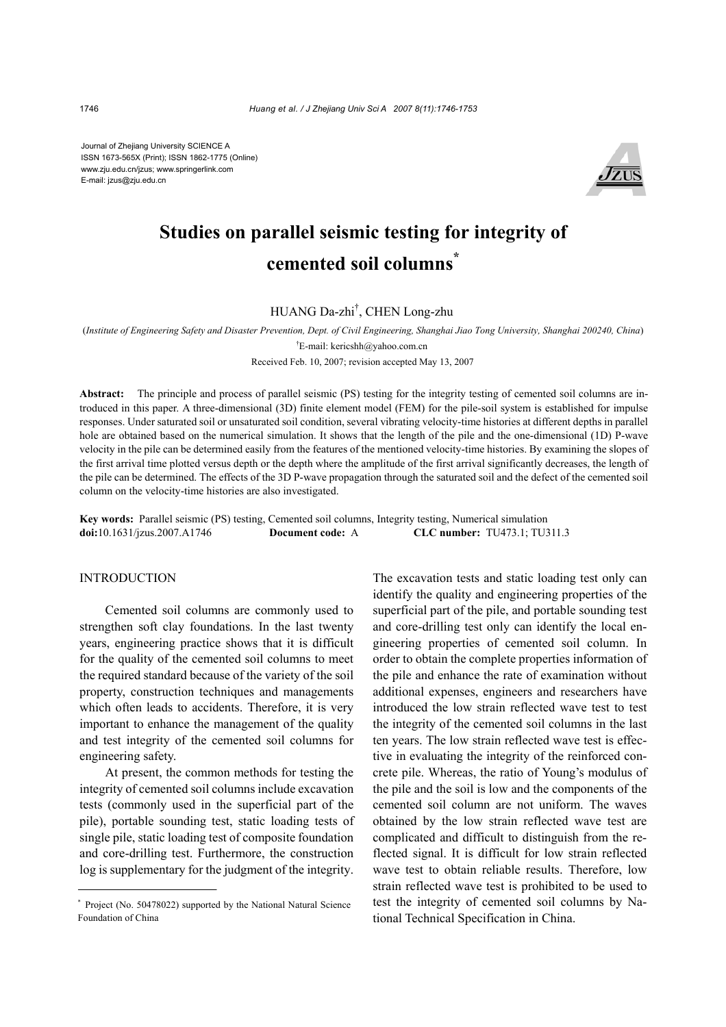Journal of Zhejiang University SCIENCE A ISSN 1673-565X (Print); ISSN 1862-1775 (Online) www.zju.edu.cn/jzus; www.springerlink.com E-mail: jzus@zju.edu.cn



# **Studies on parallel seismic testing for integrity of cemented soil columns\***

HUANG Da-zhi† , CHEN Long-zhu

(*Institute of Engineering Safety and Disaster Prevention, Dept. of Civil Engineering, Shanghai Jiao Tong University, Shanghai 200240, China*) † E-mail: kericshh@yahoo.com.cn

Received Feb. 10, 2007; revision accepted May 13, 2007

**Abstract:** The principle and process of parallel seismic (PS) testing for the integrity testing of cemented soil columns are introduced in this paper. A three-dimensional (3D) finite element model (FEM) for the pile-soil system is established for impulse responses. Under saturated soil or unsaturated soil condition, several vibrating velocity-time histories at different depths in parallel hole are obtained based on the numerical simulation. It shows that the length of the pile and the one-dimensional (1D) P-wave velocity in the pile can be determined easily from the features of the mentioned velocity-time histories. By examining the slopes of the first arrival time plotted versus depth or the depth where the amplitude of the first arrival significantly decreases, the length of the pile can be determined. The effects of the 3D P-wave propagation through the saturated soil and the defect of the cemented soil column on the velocity-time histories are also investigated.

**Key words:** Parallel seismic (PS) testing, Cemented soil columns, Integrity testing, Numerical simulation **doi:**10.1631/jzus.2007.A1746 **Document code:** A **CLC number:** TU473.1; TU311.3

#### INTRODUCTION

Cemented soil columns are commonly used to strengthen soft clay foundations. In the last twenty years, engineering practice shows that it is difficult for the quality of the cemented soil columns to meet the required standard because of the variety of the soil property, construction techniques and managements which often leads to accidents. Therefore, it is very important to enhance the management of the quality and test integrity of the cemented soil columns for engineering safety.

At present, the common methods for testing the integrity of cemented soil columns include excavation tests (commonly used in the superficial part of the pile), portable sounding test, static loading tests of single pile, static loading test of composite foundation and core-drilling test. Furthermore, the construction log is supplementary for the judgment of the integrity.

The excavation tests and static loading test only can identify the quality and engineering properties of the superficial part of the pile, and portable sounding test and core-drilling test only can identify the local engineering properties of cemented soil column. In order to obtain the complete properties information of the pile and enhance the rate of examination without additional expenses, engineers and researchers have introduced the low strain reflected wave test to test the integrity of the cemented soil columns in the last ten years. The low strain reflected wave test is effective in evaluating the integrity of the reinforced concrete pile. Whereas, the ratio of Young's modulus of the pile and the soil is low and the components of the cemented soil column are not uniform. The waves obtained by the low strain reflected wave test are complicated and difficult to distinguish from the reflected signal. It is difficult for low strain reflected wave test to obtain reliable results. Therefore, low strain reflected wave test is prohibited to be used to test the integrity of cemented soil columns by National Technical Specification in China.

<sup>\*</sup> Project (No. 50478022) supported by the National Natural Science Foundation of China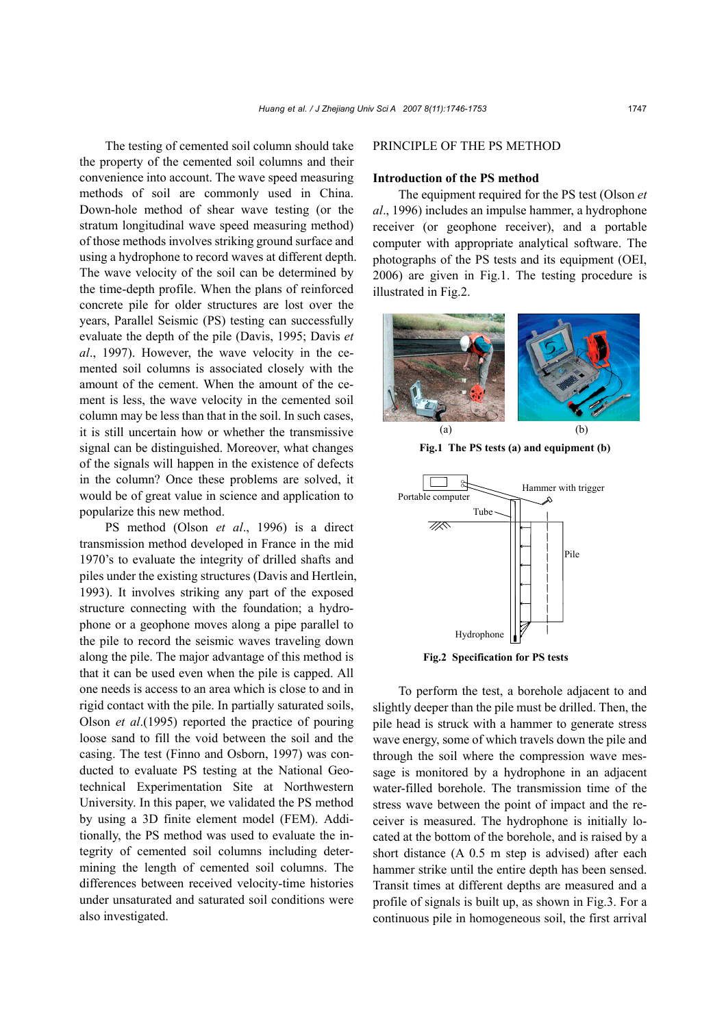The testing of cemented soil column should take the property of the cemented soil columns and their convenience into account. The wave speed measuring methods of soil are commonly used in China. Down-hole method of shear wave testing (or the stratum longitudinal wave speed measuring method) of those methods involves striking ground surface and using a hydrophone to record waves at different depth. The wave velocity of the soil can be determined by the time-depth profile. When the plans of reinforced concrete pile for older structures are lost over the years, Parallel Seismic (PS) testing can successfully evaluate the depth of the pile (Davis, 1995; Davis *et al*., 1997). However, the wave velocity in the cemented soil columns is associated closely with the amount of the cement. When the amount of the cement is less, the wave velocity in the cemented soil column may be less than that in the soil. In such cases, it is still uncertain how or whether the transmissive signal can be distinguished. Moreover, what changes of the signals will happen in the existence of defects in the column? Once these problems are solved, it would be of great value in science and application to popularize this new method.

PS method (Olson *et al*., 1996) is a direct transmission method developed in France in the mid 1970's to evaluate the integrity of drilled shafts and piles under the existing structures (Davis and Hertlein, 1993). It involves striking any part of the exposed structure connecting with the foundation; a hydrophone or a geophone moves along a pipe parallel to the pile to record the seismic waves traveling down along the pile. The major advantage of this method is that it can be used even when the pile is capped. All one needs is access to an area which is close to and in rigid contact with the pile. In partially saturated soils, Olson *et al*.(1995) reported the practice of pouring loose sand to fill the void between the soil and the casing. The test (Finno and Osborn, 1997) was conducted to evaluate PS testing at the National Geotechnical Experimentation Site at Northwestern University. In this paper, we validated the PS method by using a 3D finite element model (FEM). Additionally, the PS method was used to evaluate the integrity of cemented soil columns including determining the length of cemented soil columns. The differences between received velocity-time histories under unsaturated and saturated soil conditions were also investigated.

# PRINCIPLE OF THE PS METHOD

#### **Introduction of the PS method**

The equipment required for the PS test (Olson *et al*., 1996) includes an impulse hammer, a hydrophone receiver (or geophone receiver), and a portable computer with appropriate analytical software. The photographs of the PS tests and its equipment (OEI, 2006) are given in Fig.1. The testing procedure is illustrated in Fig.2.



**Fig.1 The PS tests (a) and equipment (b)**



**Fig.2 Specification for PS tests**

To perform the test, a borehole adjacent to and slightly deeper than the pile must be drilled. Then, the pile head is struck with a hammer to generate stress wave energy, some of which travels down the pile and through the soil where the compression wave message is monitored by a hydrophone in an adjacent water-filled borehole. The transmission time of the stress wave between the point of impact and the receiver is measured. The hydrophone is initially located at the bottom of the borehole, and is raised by a short distance (A 0.5 m step is advised) after each hammer strike until the entire depth has been sensed. Transit times at different depths are measured and a profile of signals is built up, as shown in Fig.3. For a continuous pile in homogeneous soil, the first arrival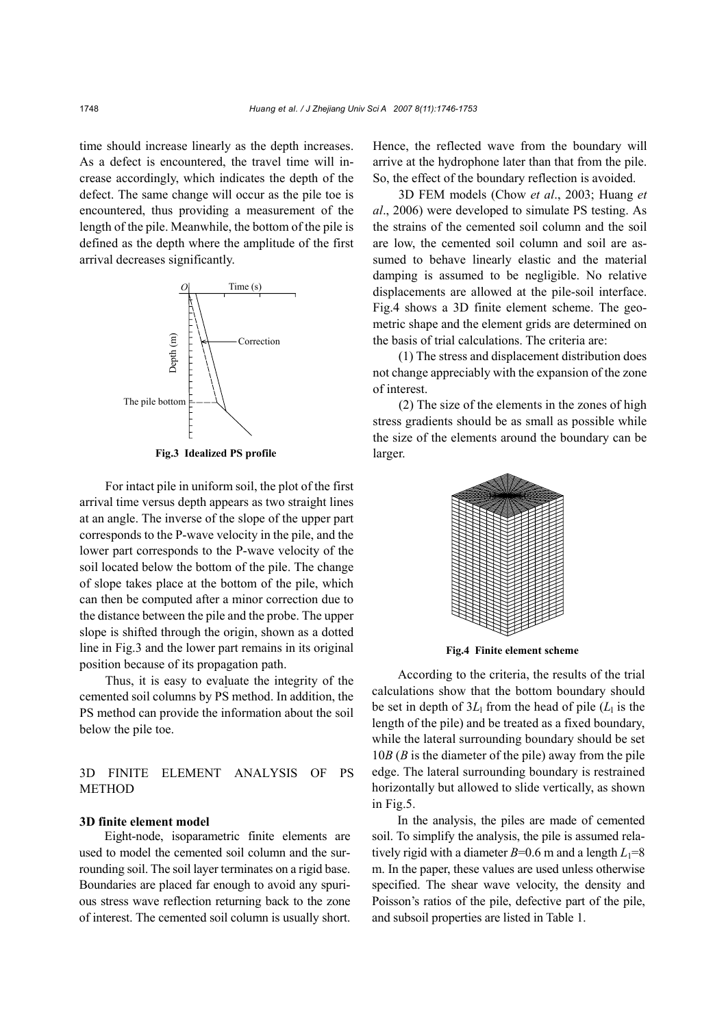time should increase linearly as the depth increases. As a defect is encountered, the travel time will increase accordingly, which indicates the depth of the defect. The same change will occur as the pile toe is encountered, thus providing a measurement of the length of the pile. Meanwhile, the bottom of the pile is defined as the depth where the amplitude of the first arrival decreases significantly.



Fig.3 Idealized PS profile larger.

For intact pile in uniform soil, the plot of the first arrival time versus depth appears as two straight lines at an angle. The inverse of the slope of the upper part corresponds to the P-wave velocity in the pile, and the lower part corresponds to the P-wave velocity of the soil located below the bottom of the pile. The change of slope takes place at the bottom of the pile, which can then be computed after a minor correction due to the distance between the pile and the probe. The upper slope is shifted through the origin, shown as a dotted line in Fig.3 and the lower part remains in its original position because of its propagation path.

Thus, it is easy to evaluate the integrity of the cemented soil columns by PS method. In addition, the PS method can provide the information about the soil below the pile toe.

3D FINITE ELEMENT ANALYSIS OF PS METHOD

## **3D finite element model**

Eight-node, isoparametric finite elements are used to model the cemented soil column and the surrounding soil. The soil layer terminates on a rigid base. Boundaries are placed far enough to avoid any spurious stress wave reflection returning back to the zone of interest. The cemented soil column is usually short. Hence, the reflected wave from the boundary will arrive at the hydrophone later than that from the pile. So, the effect of the boundary reflection is avoided.

3D FEM models (Chow *et al*., 2003; Huang *et al*., 2006) were developed to simulate PS testing. As the strains of the cemented soil column and the soil are low, the cemented soil column and soil are assumed to behave linearly elastic and the material damping is assumed to be negligible. No relative displacements are allowed at the pile-soil interface. Fig.4 shows a 3D finite element scheme. The geometric shape and the element grids are determined on the basis of trial calculations. The criteria are:

(1) The stress and displacement distribution does not change appreciably with the expansion of the zone of interest.

(2) The size of the elements in the zones of high stress gradients should be as small as possible while the size of the elements around the boundary can be



**Fig.4 Finite element scheme**

According to the criteria, the results of the trial calculations show that the bottom boundary should be set in depth of  $3L_1$  from the head of pile  $(L_1)$  is the length of the pile) and be treated as a fixed boundary, while the lateral surrounding boundary should be set 10*B* (*B* is the diameter of the pile) away from the pile edge. The lateral surrounding boundary is restrained horizontally but allowed to slide vertically, as shown in Fig.5.

In the analysis, the piles are made of cemented soil. To simplify the analysis, the pile is assumed relatively rigid with a diameter  $B=0.6$  m and a length  $L_1=8$ m. In the paper, these values are used unless otherwise specified. The shear wave velocity, the density and Poisson's ratios of the pile, defective part of the pile, and subsoil properties are listed in Table 1.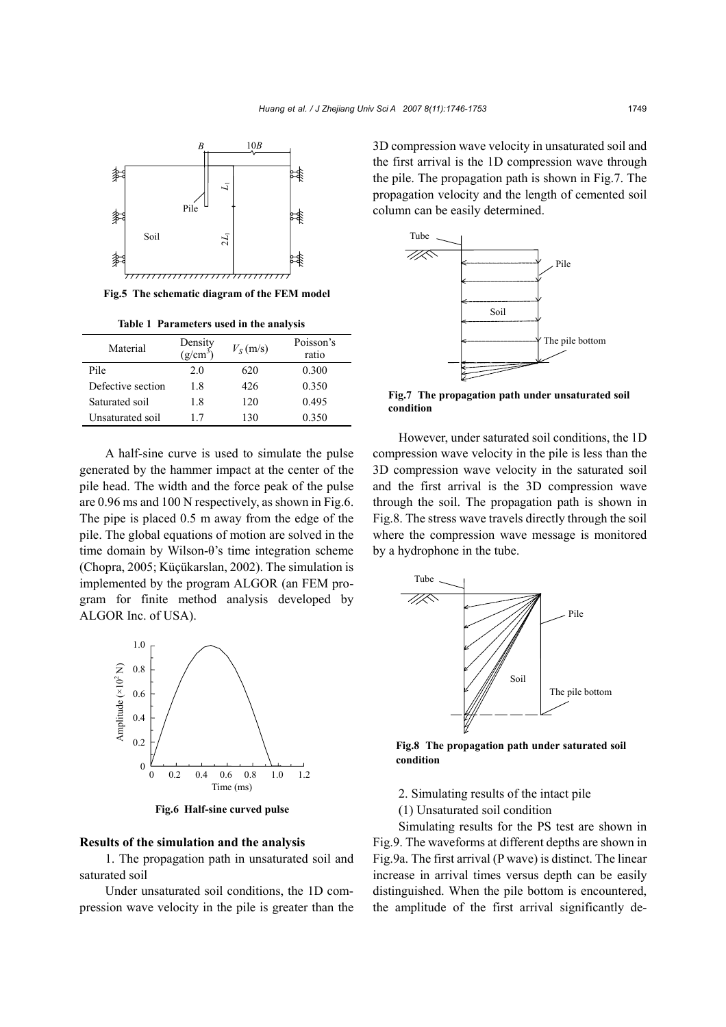

**Fig.5 The schematic diagram of the FEM model**

**Table 1 Parameters used in the analysis** 

| Material          | Density<br>$(g/cm^3)$ | $V_S(m/s)$ | Poisson's<br>ratio |
|-------------------|-----------------------|------------|--------------------|
| Pile              | 20                    | 620        | 0.300              |
| Defective section | 18                    | 426        | 0.350              |
| Saturated soil    | 18                    | 120        | 0.495              |
| Unsaturated soil  | 17                    | 130        | 0.350              |

A half-sine curve is used to simulate the pulse generated by the hammer impact at the center of the pile head. The width and the force peak of the pulse are 0.96 ms and 100 N respectively, as shown in Fig.6. The pipe is placed 0.5 m away from the edge of the pile. The global equations of motion are solved in the time domain by Wilson-θ's time integration scheme (Chopra, 2005; Küçükarslan, 2002). The simulation is implemented by the program ALGOR (an FEM program for finite method analysis developed by ALGOR Inc. of USA).



**Fig.6 Half-sine curved pulse**

#### **Results of the simulation and the analysis**

1. The propagation path in unsaturated soil and saturated soil

Under unsaturated soil conditions, the 1D compression wave velocity in the pile is greater than the 3D compression wave velocity in unsaturated soil and the first arrival is the 1D compression wave through the pile. The propagation path is shown in Fig.7. The propagation velocity and the length of cemented soil column can be easily determined.



**Fig.7 The propagation path under unsaturated soil condition**

However, under saturated soil conditions, the 1D compression wave velocity in the pile is less than the 3D compression wave velocity in the saturated soil and the first arrival is the 3D compression wave through the soil. The propagation path is shown in Fig.8. The stress wave travels directly through the soil where the compression wave message is monitored by a hydrophone in the tube.



**Fig.8 The propagation path under saturated soil condition**

2. Simulating results of the intact pile

(1) Unsaturated soil condition

Simulating results for the PS test are shown in Fig.9. The waveforms at different depths are shown in Fig.9a. The first arrival (P wave) is distinct. The linear increase in arrival times versus depth can be easily distinguished. When the pile bottom is encountered, the amplitude of the first arrival significantly de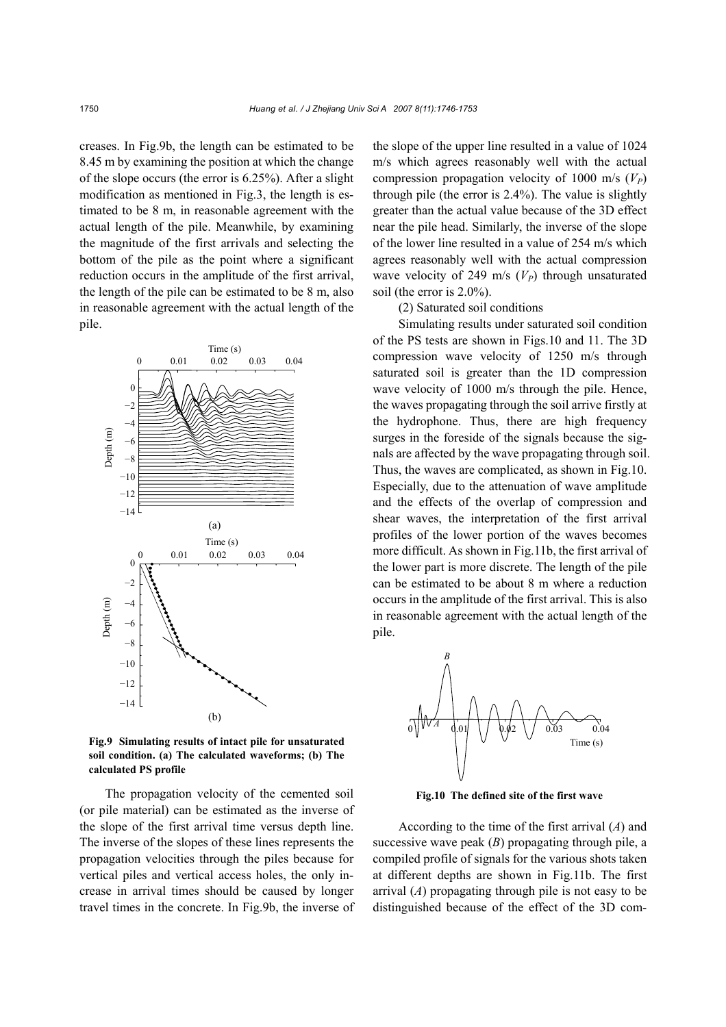creases. In Fig.9b, the length can be estimated to be 8.45 m by examining the position at which the change of the slope occurs (the error is 6.25%). After a slight modification as mentioned in Fig.3, the length is estimated to be 8 m, in reasonable agreement with the actual length of the pile. Meanwhile, by examining the magnitude of the first arrivals and selecting the bottom of the pile as the point where a significant reduction occurs in the amplitude of the first arrival, the length of the pile can be estimated to be 8 m, also in reasonable agreement with the actual length of the pile.



**Fig.9 Simulating results of intact pile for unsaturated soil condition. (a) The calculated waveforms; (b) The calculated PS profile** 

The propagation velocity of the cemented soil (or pile material) can be estimated as the inverse of the slope of the first arrival time versus depth line. The inverse of the slopes of these lines represents the propagation velocities through the piles because for vertical piles and vertical access holes, the only increase in arrival times should be caused by longer travel times in the concrete. In Fig.9b, the inverse of the slope of the upper line resulted in a value of 1024 m/s which agrees reasonably well with the actual compression propagation velocity of 1000 m/s  $(V_P)$ through pile (the error is 2.4%). The value is slightly greater than the actual value because of the 3D effect near the pile head. Similarly, the inverse of the slope of the lower line resulted in a value of 254 m/s which agrees reasonably well with the actual compression wave velocity of 249 m/s  $(V_P)$  through unsaturated soil (the error is 2.0%).

(2) Saturated soil conditions

Simulating results under saturated soil condition of the PS tests are shown in Figs.10 and 11. The 3D compression wave velocity of 1250 m/s through saturated soil is greater than the 1D compression wave velocity of 1000 m/s through the pile. Hence, the waves propagating through the soil arrive firstly at the hydrophone. Thus, there are high frequency surges in the foreside of the signals because the signals are affected by the wave propagating through soil. Thus, the waves are complicated, as shown in Fig.10. Especially, due to the attenuation of wave amplitude and the effects of the overlap of compression and shear waves, the interpretation of the first arrival profiles of the lower portion of the waves becomes more difficult. As shown in Fig.11b, the first arrival of the lower part is more discrete. The length of the pile can be estimated to be about 8 m where a reduction occurs in the amplitude of the first arrival. This is also in reasonable agreement with the actual length of the pile.



**Fig.10 The defined site of the first wave** 

According to the time of the first arrival (*A*) and successive wave peak (*B*) propagating through pile, a compiled profile of signals for the various shots taken at different depths are shown in Fig.11b. The first arrival (*A*) propagating through pile is not easy to be distinguished because of the effect of the 3D com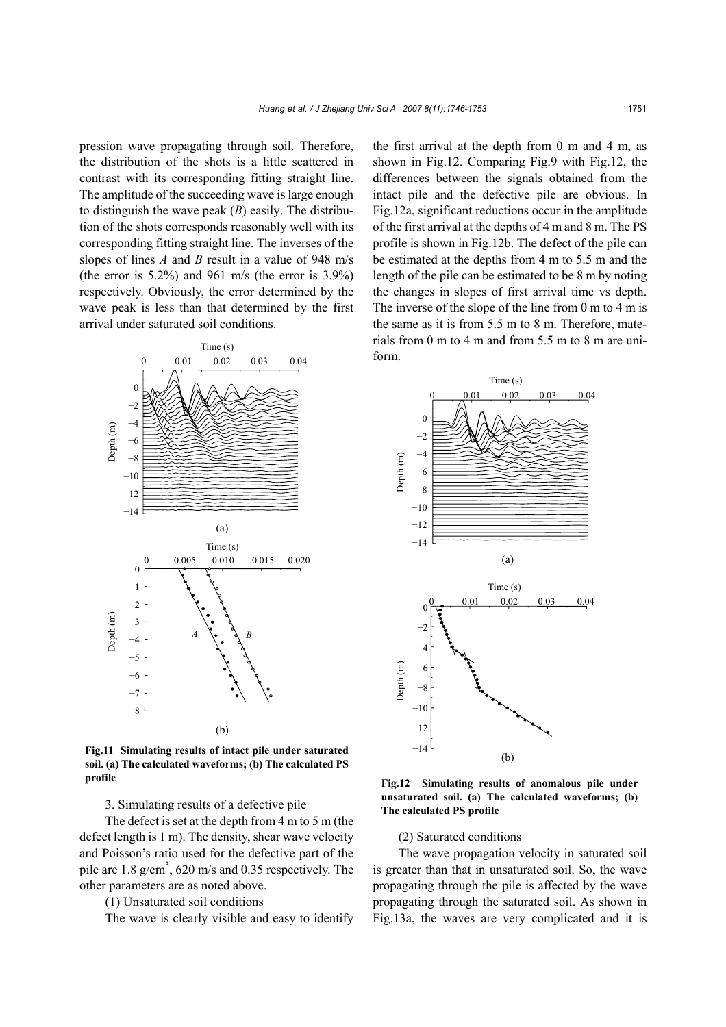pression wave propagating through soil. Therefore, the distribution of the shots is a little scattered in contrast with its corresponding fitting straight line. The amplitude of the succeeding wave is large enough to distinguish the wave peak (*B*) easily. The distribution of the shots corresponds reasonably well with its corresponding fitting straight line. The inverses of the slopes of lines *A* and *B* result in a value of 948 m/s (the error is  $5.2\%$ ) and  $961 \text{ m/s}$  (the error is  $3.9\%$ ) respectively. Obviously, the error determined by the wave peak is less than that determined by the first arrival under saturated soil conditions.



**Fig.11 Simulating results of intact pile under saturated soil. (a) The calculated waveforms; (b) The calculated PS profile**

3. Simulating results of a defective pile

The defect is set at the depth from 4 m to 5 m (the defect length is 1 m). The density, shear wave velocity and Poisson's ratio used for the defective part of the pile are 1.8  $g/cm<sup>3</sup>$ , 620 m/s and 0.35 respectively. The other parameters are as noted above.

(1) Unsaturated soil conditions

The wave is clearly visible and easy to identify

the first arrival at the depth from 0 m and 4 m, as shown in Fig.12. Comparing Fig.9 with Fig.12, the differences between the signals obtained from the intact pile and the defective pile are obvious. In Fig.12a, significant reductions occur in the amplitude of the first arrival at the depths of 4 m and 8 m. The PS profile is shown in Fig.12b. The defect of the pile can be estimated at the depths from 4 m to 5.5 m and the length of the pile can be estimated to be 8 m by noting the changes in slopes of first arrival time vs depth. The inverse of the slope of the line from 0 m to 4 m is the same as it is from 5.5 m to 8 m. Therefore, materials from 0 m to 4 m and from 5.5 m to 8 m are uniform.



**Fig.12 Simulating results of anomalous pile under unsaturated soil. (a) The calculated waveforms; (b) The calculated PS profile** 

(2) Saturated conditions

The wave propagation velocity in saturated soil is greater than that in unsaturated soil. So, the wave propagating through the pile is affected by the wave propagating through the saturated soil. As shown in Fig.13a, the waves are very complicated and it is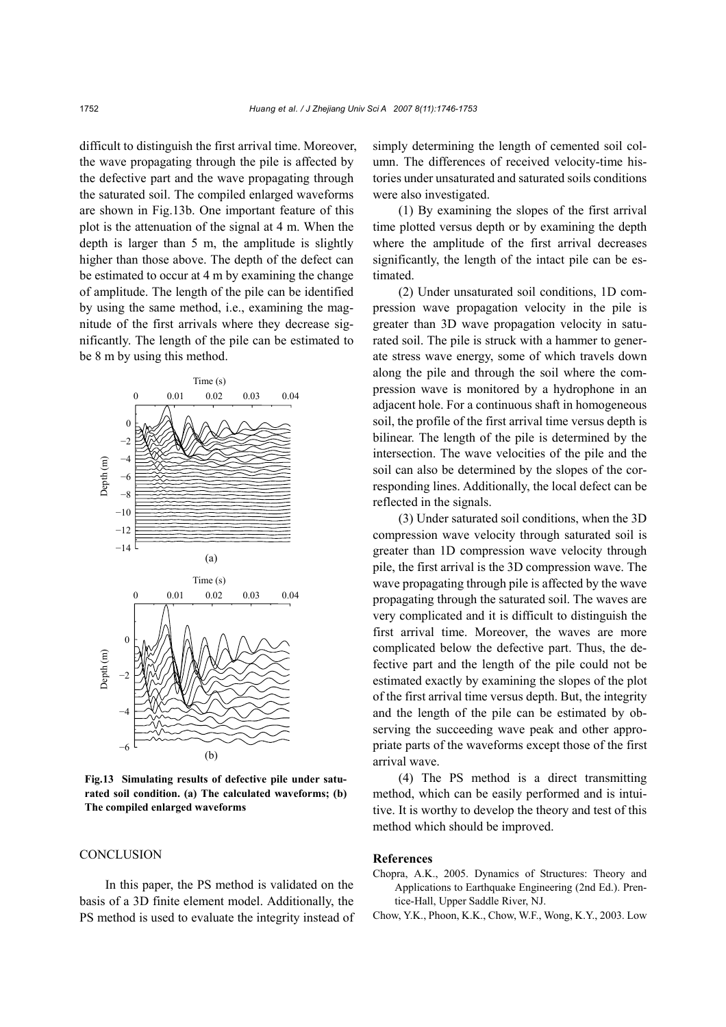difficult to distinguish the first arrival time. Moreover, the wave propagating through the pile is affected by the defective part and the wave propagating through the saturated soil. The compiled enlarged waveforms are shown in Fig.13b. One important feature of this plot is the attenuation of the signal at 4 m. When the depth is larger than 5 m, the amplitude is slightly higher than those above. The depth of the defect can be estimated to occur at 4 m by examining the change of amplitude. The length of the pile can be identified by using the same method, i.e., examining the magnitude of the first arrivals where they decrease significantly. The length of the pile can be estimated to be 8 m by using this method.



**Fig.13 Simulating results of defective pile under saturated soil condition. (a) The calculated waveforms; (b) The compiled enlarged waveforms** 

## **CONCLUSION**

In this paper, the PS method is validated on the basis of a 3D finite element model. Additionally, the PS method is used to evaluate the integrity instead of simply determining the length of cemented soil column. The differences of received velocity-time histories under unsaturated and saturated soils conditions were also investigated.

(1) By examining the slopes of the first arrival time plotted versus depth or by examining the depth where the amplitude of the first arrival decreases significantly, the length of the intact pile can be estimated.

(2) Under unsaturated soil conditions, 1D compression wave propagation velocity in the pile is greater than 3D wave propagation velocity in saturated soil. The pile is struck with a hammer to generate stress wave energy, some of which travels down along the pile and through the soil where the compression wave is monitored by a hydrophone in an adjacent hole. For a continuous shaft in homogeneous soil, the profile of the first arrival time versus depth is bilinear. The length of the pile is determined by the intersection. The wave velocities of the pile and the soil can also be determined by the slopes of the corresponding lines. Additionally, the local defect can be reflected in the signals.

(3) Under saturated soil conditions, when the 3D compression wave velocity through saturated soil is greater than 1D compression wave velocity through pile, the first arrival is the 3D compression wave. The wave propagating through pile is affected by the wave propagating through the saturated soil. The waves are very complicated and it is difficult to distinguish the first arrival time. Moreover, the waves are more complicated below the defective part. Thus, the defective part and the length of the pile could not be estimated exactly by examining the slopes of the plot of the first arrival time versus depth. But, the integrity and the length of the pile can be estimated by observing the succeeding wave peak and other appropriate parts of the waveforms except those of the first arrival wave.

(4) The PS method is a direct transmitting method, which can be easily performed and is intuitive. It is worthy to develop the theory and test of this method which should be improved.

## **References**

- Chopra, A.K., 2005. Dynamics of Structures: Theory and Applications to Earthquake Engineering (2nd Ed.). Prentice-Hall, Upper Saddle River, NJ.
- Chow, Y.K., Phoon, K.K., Chow, W.F., Wong, K.Y., 2003. Low